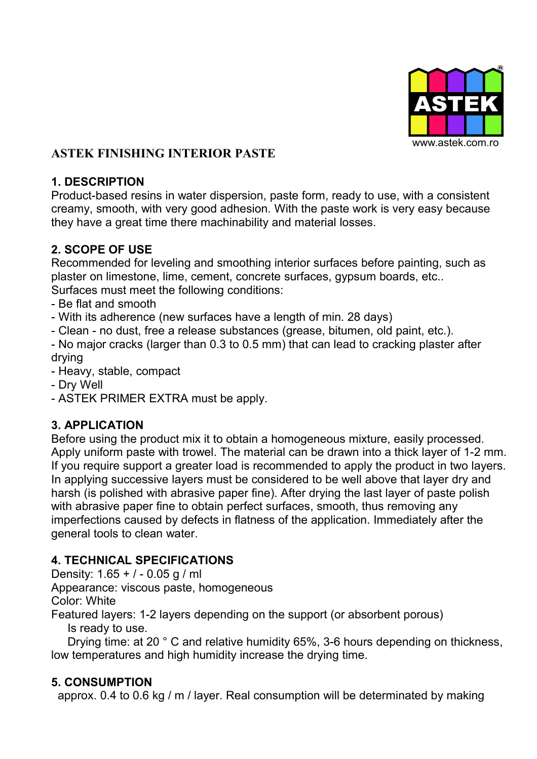

# **ASTEK FINISHING INTERIOR PASTE**

#### **1. DESCRIPTION**

Product-based resins in water dispersion, paste form, ready to use, with a consistent creamy, smooth, with very good adhesion. With the paste work is very easy because they have a great time there machinability and material losses.

## **2. SCOPE OF USE**

Recommended for leveling and smoothing interior surfaces before painting, such as plaster on limestone, lime, cement, concrete surfaces, gypsum boards, etc.. Surfaces must meet the following conditions:

- Be flat and smooth

- With its adherence (new surfaces have a length of min. 28 days)

- Clean - no dust, free a release substances (grease, bitumen, old paint, etc.).

- No major cracks (larger than 0.3 to 0.5 mm) that can lead to cracking plaster after drying

- Heavy, stable, compact

- Dry Well

- ASTEK PRIMER EXTRA must be apply.

# **3. APPLICATION**

Before using the product mix it to obtain a homogeneous mixture, easily processed. Apply uniform paste with trowel. The material can be drawn into a thick layer of 1-2 mm. If you require support a greater load is recommended to apply the product in two layers. In applying successive layers must be considered to be well above that layer dry and harsh (is polished with abrasive paper fine). After drying the last layer of paste polish with abrasive paper fine to obtain perfect surfaces, smooth, thus removing any imperfections caused by defects in flatness of the application. Immediately after the general tools to clean water.

# **4. TECHNICAL SPECIFICATIONS**

Density: 1.65 + / - 0.05 g / ml Appearance: viscous paste, homogeneous Color: White Featured layers: 1-2 layers depending on the support (or absorbent porous)

Is ready to use.

Drying time: at 20 ° C and relative humidity 65%, 3-6 hours depending on thickness, low temperatures and high humidity increase the drying time.

#### **5. CONSUMPTION**

approx. 0.4 to 0.6 kg / m / layer. Real consumption will be determinated by making